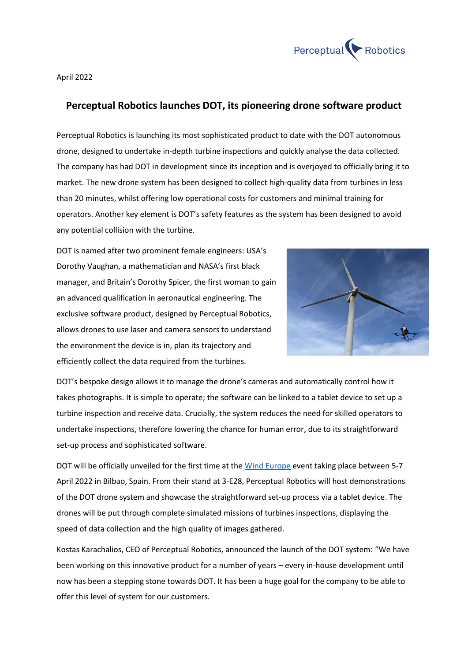

April 2022

## **Perceptual Robotics launches DOT, its pioneering drone software product**

Perceptual Robotics is launching its most sophisticated product to date with the DOT autonomous drone, designed to undertake in-depth turbine inspections and quickly analyse the data collected. The company has had DOT in development since its inception and is overjoyed to officially bring it to market. The new drone system has been designed to collect high-quality data from turbines in less than 20 minutes, whilst offering low operational costs for customers and minimal training for operators. Another key element is DOT's safety features as the system has been designed to avoid any potential collision with the turbine.

DOT is named after two prominent female engineers: USA's Dorothy Vaughan, a mathematician and NASA's first black manager, and Britain's Dorothy Spicer, the first woman to gain an advanced qualification in aeronautical engineering. The exclusive software product, designed by Perceptual Robotics, allows drones to use laser and camera sensors to understand the environment the device is in, plan its trajectory and efficiently collect the data required from the turbines.



DOT's bespoke design allows it to manage the drone's cameras and automatically control how it takes photographs. It is simple to operate; the software can be linked to a tablet device to set up a turbine inspection and receive data. Crucially, the system reduces the need for skilled operators to undertake inspections, therefore lowering the chance for human error, due to its straightforward set-up process and sophisticated software.

DOT will be officially unveiled for the first time at the [Wind Europe](https://windeurope.org/annual2022/conference/sessions/digitalising-the-way-we-make-wind-turbines/) event taking place between 5-7 April 2022 in Bilbao, Spain. From their stand at 3-E28, Perceptual Robotics will host demonstrations of the DOT drone system and showcase the straightforward set-up process via a tablet device. The drones will be put through complete simulated missions of turbines inspections, displaying the speed of data collection and the high quality of images gathered.

Kostas Karachalios, CEO of Perceptual Robotics, announced the launch of the DOT system: "We have been working on this innovative product for a number of years – every in-house development until now has been a stepping stone towards DOT. It has been a huge goal for the company to be able to offer this level of system for our customers.